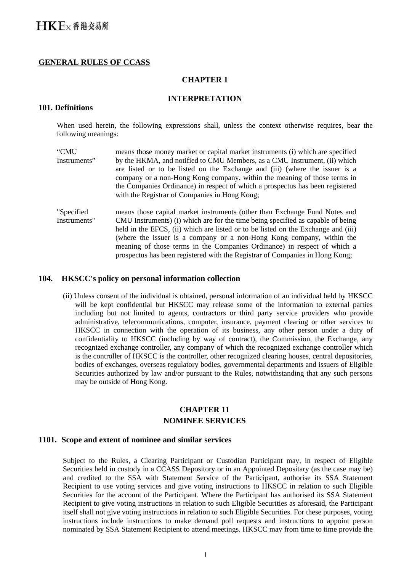# **GENERAL RULES OF CCASS**

# **CHAPTER 1**

#### **INTERPRETATION**

## **101. Definitions**

When used herein, the following expressions shall, unless the context otherwise requires, bear the following meanings:

- "CMU Instruments" means those money market or capital market instruments (i) which are specified by the HKMA, and notified to CMU Members, as a CMU Instrument, (ii) which are listed or to be listed on the Exchange and (iii) (where the issuer is a company or a non-Hong Kong company, within the meaning of those terms in the Companies Ordinance) in respect of which a prospectus has been registered with the Registrar of Companies in Hong Kong;
- "Specified Instruments" means those capital market instruments (other than Exchange Fund Notes and CMU Instruments) (i) which are for the time being specified as capable of being held in the EFCS, (ii) which are listed or to be listed on the Exchange and (iii) (where the issuer is a company or a non-Hong Kong company, within the meaning of those terms in the Companies Ordinance) in respect of which a prospectus has been registered with the Registrar of Companies in Hong Kong;

### **104. HKSCC's policy on personal information collection**

(ii) Unless consent of the individual is obtained, personal information of an individual held by HKSCC will be kept confidential but HKSCC may release some of the information to external parties including but not limited to agents, contractors or third party service providers who provide administrative, telecommunications, computer, insurance, payment clearing or other services to HKSCC in connection with the operation of its business, any other person under a duty of confidentiality to HKSCC (including by way of contract), the Commission, the Exchange, any recognized exchange controller, any company of which the recognized exchange controller which is the controller of HKSCC is the controller, other recognized clearing houses, central depositories, bodies of exchanges, overseas regulatory bodies, governmental departments and issuers of Eligible Securities authorized by law and/or pursuant to the Rules, notwithstanding that any such persons may be outside of Hong Kong.

# **CHAPTER 11 NOMINEE SERVICES**

### **1101. Scope and extent of nominee and similar services**

Subject to the Rules, a Clearing Participant or Custodian Participant may, in respect of Eligible Securities held in custody in a CCASS Depository or in an Appointed Depositary (as the case may be) and credited to the SSA with Statement Service of the Participant, authorise its SSA Statement Recipient to use voting services and give voting instructions to HKSCC in relation to such Eligible Securities for the account of the Participant. Where the Participant has authorised its SSA Statement Recipient to give voting instructions in relation to such Eligible Securities as aforesaid, the Participant itself shall not give voting instructions in relation to such Eligible Securities. For these purposes, voting instructions include instructions to make demand poll requests and instructions to appoint person nominated by SSA Statement Recipient to attend meetings. HKSCC may from time to time provide the